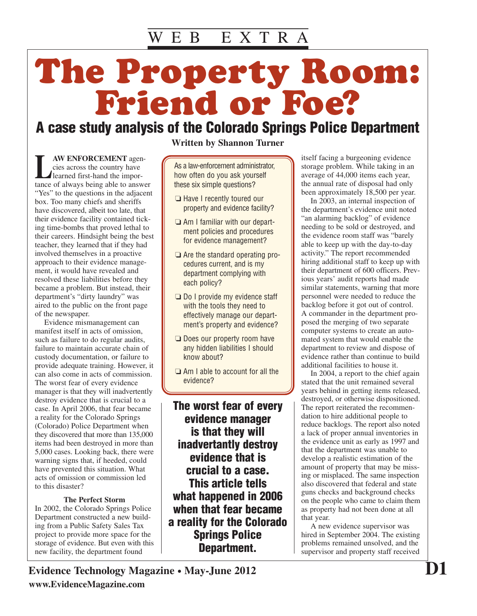# The Property Room: Friend or Foe?

### **A case study analysis of the Colorado Springs Police Department**

**LAW ENFORCEMENT** agencies across the country have<br>learned first-hand the importance of always being able to answer cies across the country have learned first-hand the importance of always being able to answer "Yes" to the questions in the adjacent box. Too many chiefs and sheriffs have discovered, albeit too late, that their evidence facility contained ticking time-bombs that proved lethal to their careers. Hindsight being the best teacher, they learned that if they had involved themselves in a proactive approach to their evidence management, it would have revealed and resolved these liabilities before they became a problem. But instead, their department's "dirty laundry" was aired to the public on the front page of the newspaper.

Evidence mismanagement can manifest itself in acts of omission, such as failure to do regular audits, failure to maintain accurate chain of custody documentation, or failure to provide adequate training. However, it can also come in acts of commission. The worst fear of every evidence manager is that they will inadvertently destroy evidence that is crucial to a case. In April 2006, that fear became a reality for the Colorado Springs (Colorado) Police Department when they discovered that more than 135,000 items had been destroyed in more than 5,000 cases. Looking back, there were warning signs that, if heeded, could have prevented this situation. What acts of omission or commission led to this disaster?

#### **The Perfect Storm**

In 2002, the Colorado Springs Police Department constructed a new building from a Public Safety Sales Tax project to provide more space for the storage of evidence. But even with this new facility, the department found

**Written by Shannon Turner**

As a law-enforcement administrator, how often do you ask yourself these six simple questions?

- ❏ Have I recently toured our property and evidence facility?
- ❏ Am I familiar with our department policies and procedures for evidence management?
- ❏ Are the standard operating procedures current, and is my department complying with each policy?
- ❏ Do I provide my evidence staff with the tools they need to effectively manage our department's property and evidence?
- ❏ Does our property room have any hidden liabilities I should know about?
- ❏ Am I able to account for all the evidence?

**The worst fear of every evidence manager is that they will inadvertantly destroy evidence that is crucial to a case. This article tells what happened in 2006 when that fear became a reality for the Colorado Springs Police Department.**

itself facing a burgeoning evidence storage problem. While taking in an average of 44,000 items each year, the annual rate of disposal had only been approximately 18,500 per year.

In 2003, an internal inspection of the department's evidence unit noted "an alarming backlog" of evidence needing to be sold or destroyed, and the evidence room staff was "barely able to keep up with the day-to-day activity." The report recommended hiring additional staff to keep up with their department of 600 officers. Previous years' audit reports had made similar statements, warning that more personnel were needed to reduce the backlog before it got out of control. A commander in the department proposed the merging of two separate computer systems to create an automated system that would enable the department to review and dispose of evidence rather than continue to build additional facilities to house it.

In 2004, a report to the chief again stated that the unit remained several years behind in getting items released, destroyed, or otherwise dispositioned. The report reiterated the recommendation to hire additional people to reduce backlogs. The report also noted a lack of proper annual inventories in the evidence unit as early as 1997 and that the department was unable to develop a realistic estimation of the amount of property that may be missing or misplaced. The same inspection also discovered that federal and state guns checks and background checks on the people who came to claim them as property had not been done at all that year.

A new evidence supervisor was hired in September 2004. The existing problems remained unsolved, and the supervisor and property staff received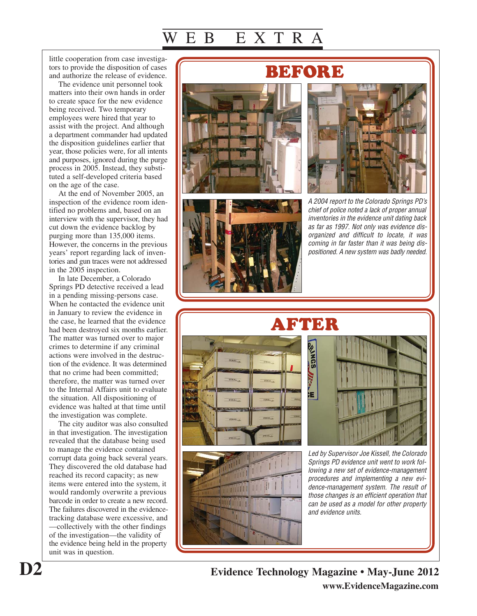little cooperation from case investigators to provide the disposition of cases and authorize the release of evidence.

The evidence unit personnel took matters into their own hands in order to create space for the new evidence being received. Two temporary employees were hired that year to assist with the project. And although a department commander had updated the disposition guidelines earlier that year, those policies were, for all intents and purposes, ignored during the purge process in 2005. Instead, they substituted a self-developed criteria based on the age of the case.

At the end of November 2005, an inspection of the evidence room identified no problems and, based on an interview with the supervisor, they had cut down the evidence backlog by purging more than 135,000 items. However, the concerns in the previous years' report regarding lack of inventories and gun traces were not addressed in the 2005 inspection.

In late December, a Colorado Springs PD detective received a lead in a pending missing-persons case. When he contacted the evidence unit in January to review the evidence in the case, he learned that the evidence had been destroyed six months earlier. The matter was turned over to major crimes to determine if any criminal actions were involved in the destruction of the evidence. It was determined that no crime had been committed; therefore, the matter was turned over to the Internal Affairs unit to evaluate the situation. All dispositioning of evidence was halted at that time until the investigation was complete.

The city auditor was also consulted in that investigation. The investigation revealed that the database being used to manage the evidence contained corrupt data going back several years. They discovered the old database had reached its record capacity; as new items were entered into the system, it would randomly overwrite a previous barcode in order to create a new record. The failures discovered in the evidencetracking database were excessive, and —collectively with the other findings of the investigation—the validity of the evidence being held in the property unit was in question.





A 2004 report to the Colorado Springs PD's chief of police noted a lack of proper annual inventories in the evidence unit dating back as far as 1997. Not only was evidence disorganized and difficult to locate, it was coming in far faster than it was being dispositioned. A new system was badly needed.









Led by Supervisor Joe Kissell, the Colorado Springs PD evidence unit went to work following a new set of evidence-management procedures and implementing a new evidence-management system. The result of those changes is an efficient operation that can be used as a model for other property and evidence units.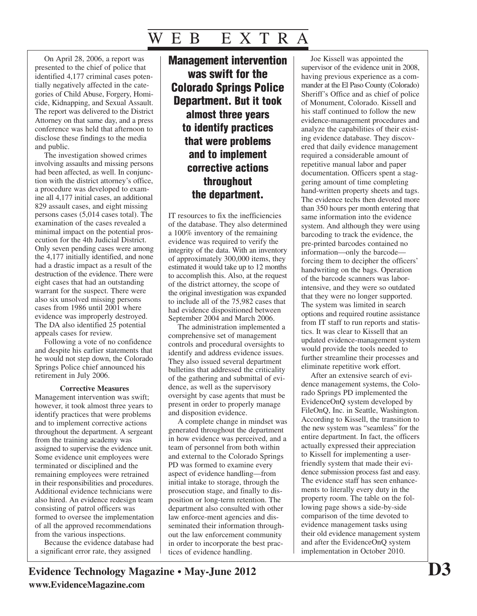On April 28, 2006, a report was presented to the chief of police that identified 4,177 criminal cases potentially negatively affected in the categories of Child Abuse, Forgery, Homicide, Kidnapping, and Sexual Assault. The report was delivered to the District Attorney on that same day, and a press conference was held that afternoon to disclose these findings to the media and public.

The investigation showed crimes involving assaults and missing persons had been affected, as well. In conjunction with the district attorney's office, a procedure was developed to examine all 4,177 initial cases, an additional 829 assault cases, and eight missing persons cases (5,014 cases total). The examination of the cases revealed a minimal impact on the potential prosecution for the 4th Judicial District. Only seven pending cases were among the 4,177 initially identified, and none had a drastic impact as a result of the destruction of the evidence. There were eight cases that had an outstanding warrant for the suspect. There were also six unsolved missing persons cases from 1986 until 2001 where evidence was improperly destroyed. The DA also identified 25 potential appeals cases for review.

Following a vote of no confidence and despite his earlier statements that he would not step down, the Colorado Springs Police chief announced his retirement in July 2006.

#### **Corrective Measures**

Management intervention was swift; however, it took almost three years to identify practices that were problems and to implement corrective actions throughout the department. A sergeant from the training academy was assigned to supervise the evidence unit. Some evidence unit employees were terminated or disciplined and the remaining employees were retrained in their responsibilities and procedures. Additional evidence technicians were also hired. An evidence redesign team consisting of patrol officers was formed to oversee the implementation of all the approved recommendations from the various inspections.

Because the evidence database had a significant error rate, they assigned

### **Management intervention was swift for the Colorado Springs Police Department. But it took almost three years to identify practices that were problems and to implement corrective actions throughout the department.**

IT resources to fix the inefficiencies of the database. They also determined a 100% inventory of the remaining evidence was required to verify the integrity of the data. With an inventory of approximately 300,000 items, they estimated it would take up to 12 months to accomplish this. Also, at the request of the district attorney, the scope of the original investigation was expanded to include all of the 75,982 cases that had evidence dispositioned between September 2004 and March 2006.

The administration implemented a comprehensive set of management controls and procedural oversights to identify and address evidence issues. They also issued several department bulletins that addressed the criticality of the gathering and submittal of evidence, as well as the supervisory oversight by case agents that must be present in order to properly manage and disposition evidence.

A complete change in mindset was generated throughout the department in how evidence was perceived, and a team of personnel from both within and external to the Colorado Springs PD was formed to examine every aspect of evidence handling—from initial intake to storage, through the prosecution stage, and finally to disposition or long-term retention. The department also consulted with other law enforce-ment agencies and disseminated their information throughout the law enforcement community in order to incorporate the best practices of evidence handling.

Joe Kissell was appointed the supervisor of the evidence unit in 2008, having previous experience as a commander at the El Paso County (Colorado) Sheriff's Office and as chief of police of Monument, Colorado. Kissell and his staff continued to follow the new evidence-management procedures and analyze the capabilities of their existing evidence database. They discovered that daily evidence management required a considerable amount of repetitive manual labor and paper documentation. Officers spent a staggering amount of time completing hand-written property sheets and tags. The evidence techs then devoted more than 350 hours per month entering that same information into the evidence system. And although they were using barcoding to track the evidence, the pre-printed barcodes contained no information—only the barcode forcing them to decipher the officers' handwriting on the bags. Operation of the barcode scanners was laborintensive, and they were so outdated that they were no longer supported. The system was limited in search options and required routine assistance from IT staff to run reports and statistics. It was clear to Kissell that an updated evidence-management system would provide the tools needed to further streamline their processes and eliminate repetitive work effort.

After an extensive search of evidence management systems, the Colorado Springs PD implemented the EvidenceOnQ system developed by FileOnQ, Inc. in Seattle, Washington. According to Kissell, the transition to the new system was "seamless" for the entire department. In fact, the officers actually expressed their appreciation to Kissell for implementing a userfriendly system that made their evidence submission process fast and easy. The evidence staff has seen enhancements to literally every duty in the property room. The table on the following page shows a side-by-side comparison of the time devoted to evidence management tasks using their old evidence management system and after the EvidenceOnQ system implementation in October 2010.